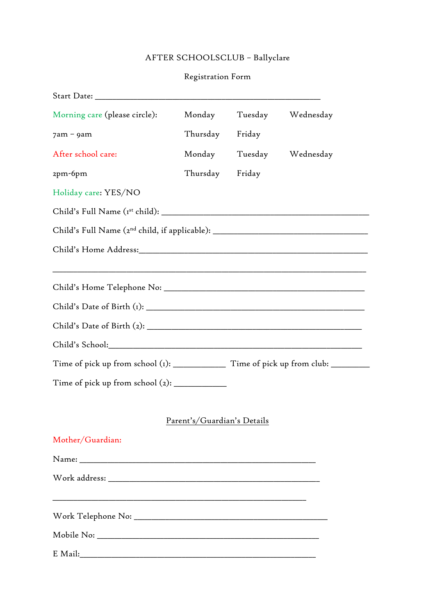# AFTER SCHOOLSCLUB – Ballyclare

## Registration Form

| Morning care (please circle):                                                                                    | Monday                      |        | Tuesday Wednesday        |
|------------------------------------------------------------------------------------------------------------------|-----------------------------|--------|--------------------------|
| $7am - 9am$                                                                                                      | Thursday                    | Friday |                          |
| After school care:                                                                                               |                             |        | Monday Tuesday Wednesday |
| 2pm-6pm                                                                                                          | Thursday Friday             |        |                          |
| Holiday care: YES/NO                                                                                             |                             |        |                          |
|                                                                                                                  |                             |        |                          |
| Child's Full Name (2 <sup>nd</sup> child, if applicable): __________________________________                     |                             |        |                          |
|                                                                                                                  |                             |        |                          |
|                                                                                                                  |                             |        |                          |
|                                                                                                                  |                             |        |                          |
|                                                                                                                  |                             |        |                          |
|                                                                                                                  |                             |        |                          |
|                                                                                                                  |                             |        |                          |
|                                                                                                                  |                             |        |                          |
|                                                                                                                  | Parent's/Guardian's Details |        |                          |
| Mother/Guardian:                                                                                                 |                             |        |                          |
|                                                                                                                  |                             |        |                          |
|                                                                                                                  |                             |        |                          |
| and the control of the control of the control of the control of the control of the control of the control of the |                             |        |                          |
|                                                                                                                  |                             |        |                          |
|                                                                                                                  |                             |        |                          |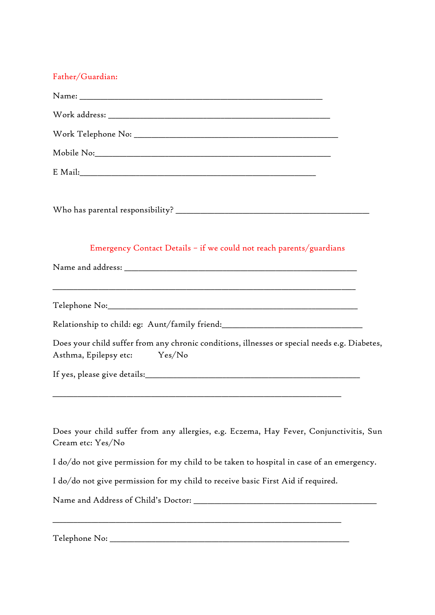#### Father/Guardian:

|                       | Emergency Contact Details - if we could not reach parents/guardians                                     |
|-----------------------|---------------------------------------------------------------------------------------------------------|
|                       |                                                                                                         |
|                       | <u> 1999 - Jan James James, Amerikaansk politiker (* 1908)</u>                                          |
|                       | Relationship to child: eg: Aunt/family friend:__________________________________                        |
| Asthma, Epilepsy etc: | Does your child suffer from any chronic conditions, illnesses or special needs e.g. Diabetes,<br>Yes/No |
|                       |                                                                                                         |
|                       |                                                                                                         |
| Cream etc: Yes/No     | Does your child suffer from any allergies, e.g. Eczema, Hay Fever, Conjunctivitis, Sun                  |
|                       | I do/do not give permission for my child to be taken to hospital in case of an emergency.               |
|                       | I do/do not give permission for my child to receive basic First Aid if required.                        |
|                       |                                                                                                         |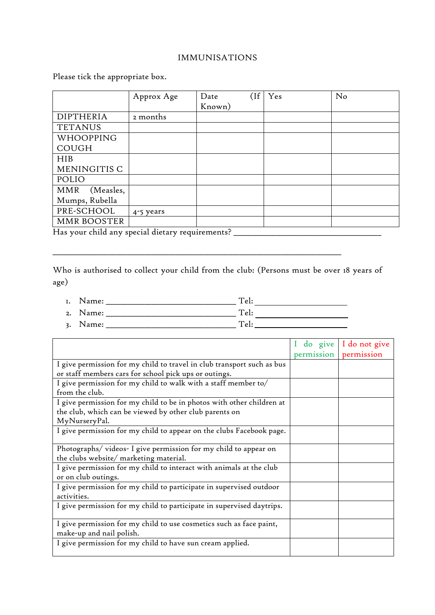#### IMMUNISATIONS

Please tick the appropriate box.

|                         | Approx Age | $($ If<br>Date | Yes | No |
|-------------------------|------------|----------------|-----|----|
|                         |            | Known)         |     |    |
| <b>DIPTHERIA</b>        | 2 months   |                |     |    |
| <b>TETANUS</b>          |            |                |     |    |
| WHOOPPING               |            |                |     |    |
| <b>COUGH</b>            |            |                |     |    |
| HIB                     |            |                |     |    |
| MENINGITIS C            |            |                |     |    |
| POLIO                   |            |                |     |    |
| <b>MMR</b><br>(Measles, |            |                |     |    |
| Mumps, Rubella          |            |                |     |    |
| PRE-SCHOOL              | 4-5 years  |                |     |    |
| MMR BOOSTER             |            |                |     |    |

Has your child any special dietary requirements? \_\_\_\_\_\_\_\_\_\_\_\_\_\_\_\_\_\_\_\_\_\_\_\_\_\_\_\_\_\_\_

Who is authorised to collect your child from the club: (Persons must be over 18 years of age)

1. Name: \_\_\_\_\_\_\_\_\_\_\_\_\_\_\_\_\_\_\_\_\_\_\_\_\_\_\_\_\_\_\_\_\_\_\_\_\_ Tel:

2. Name: \_\_\_\_\_\_\_\_\_\_\_\_\_\_\_\_\_\_\_\_\_\_\_\_\_\_\_\_\_\_\_\_\_\_\_\_\_ Tel:

\_\_\_\_\_\_\_\_\_\_\_\_\_\_\_\_\_\_\_\_\_\_\_\_\_\_\_\_\_\_\_\_\_\_\_\_\_\_\_\_\_\_\_\_\_\_\_\_\_\_\_\_\_\_\_\_\_\_\_\_\_\_\_\_\_\_\_\_\_\_\_\_\_\_\_\_\_\_\_\_\_\_

3. Name: \_\_\_\_\_\_\_\_\_\_\_\_\_\_\_\_\_\_\_\_\_\_\_\_\_\_\_\_\_\_\_\_\_\_\_\_\_ Tel:

|                                                                        | do give    | I do not give |
|------------------------------------------------------------------------|------------|---------------|
|                                                                        | permission | permission    |
| I give permission for my child to travel in club transport such as bus |            |               |
| or staff members cars for school pick ups or outings.                  |            |               |
| I give permission for my child to walk with a staff member to/         |            |               |
| from the club.                                                         |            |               |
| I give permission for my child to be in photos with other children at  |            |               |
| the club, which can be viewed by other club parents on                 |            |               |
| MyNurseryPal.                                                          |            |               |
| I give permission for my child to appear on the clubs Facebook page.   |            |               |
|                                                                        |            |               |
| Photographs/videos-I give permission for my child to appear on         |            |               |
| the clubs website/ marketing material.                                 |            |               |
| I give permission for my child to interact with animals at the club    |            |               |
| or on club outings.                                                    |            |               |
| I give permission for my child to participate in supervised outdoor    |            |               |
| activities.                                                            |            |               |
| I give permission for my child to participate in supervised daytrips.  |            |               |
|                                                                        |            |               |
| I give permission for my child to use cosmetics such as face paint,    |            |               |
| make-up and nail polish.                                               |            |               |
| I give permission for my child to have sun cream applied.              |            |               |
|                                                                        |            |               |